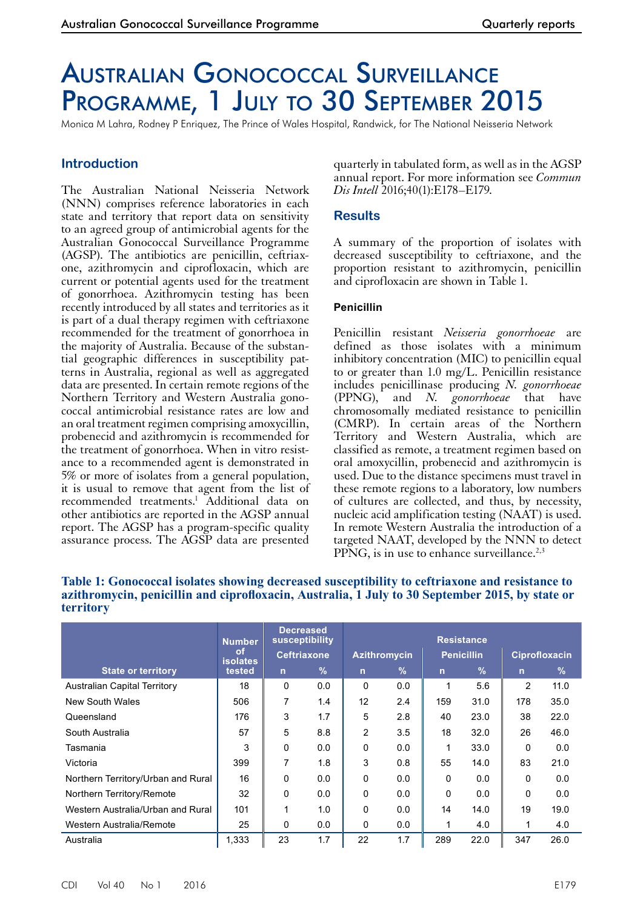# Australian Gonococcal Surveillance PROGRAMME, 1 JULY TO 30 SEPTEMBER 2015

Monica M Lahra, Rodney P Enriquez, The Prince of Wales Hospital, Randwick, for The National Neisseria Network

# **Introduction**

The Australian National Neisseria Network (NNN) comprises reference laboratories in each state and territory that report data on sensitivity to an agreed group of antimicrobial agents for the Australian Gonococcal Surveillance Programme (AGSP). The antibiotics are penicillin, ceftriaxone, azithromycin and ciprofloxacin, which are current or potential agents used for the treatment of gonorrhoea. Azithromycin testing has been recently introduced by all states and territories as it is part of a dual therapy regimen with ceftriaxone recommended for the treatment of gonorrhoea in the majority of Australia. Because of the substantial geographic differences in susceptibility patterns in Australia, regional as well as aggregated data are presented. In certain remote regions of the Northern Territory and Western Australia gonococcal antimicrobial resistance rates are low and an oral treatment regimen comprising amoxycillin, probenecid and azithromycin is recommended for the treatment of gonorrhoea. When in vitro resistance to a recommended agent is demonstrated in 5% or more of isolates from a general population, it is usual to remove that agent from the list of recommended treatments.<sup>1</sup> Additional data on other antibiotics are reported in the AGSP annual report. The AGSP has a program-specific quality assurance process. The AGSP data are presented

quarterly in tabulated form, as well as in the AGSP annual report. For more information see *Commun Dis Intell* 2016;40(1):E178–E179.

### **Results**

A summary of the proportion of isolates with decreased susceptibility to ceftriaxone, and the proportion resistant to azithromycin, penicillin and ciprofloxacin are shown in Table 1.

#### **Penicillin**

Penicillin resistant *Neisseria gonorrhoeae* are defined as those isolates with a minimum inhibitory concentration (MIC) to penicillin equal to or greater than 1.0 mg/L. Penicillin resistance includes penicillinase producing *N. gonorrhoeae* (PPNG), and *N. gonorrhoeae* that have chromosomally mediated resistance to penicillin (CMRP). In certain areas of the Northern Territory and Western Australia, which are classified as remote, a treatment regimen based on oral amoxycillin, probenecid and azithromycin is used. Due to the distance specimens must travel in these remote regions to a laboratory, low numbers of cultures are collected, and thus, by necessity, nucleic acid amplification testing (NAAT) is used. In remote Western Australia the introduction of a targeted NAAT, developed by the NNN to detect PPNG, is in use to enhance surveillance.<sup>2,3</sup>

|                                     | <b>Number</b><br><b>of</b><br><b>isolates</b> | <b>Decreased</b><br>susceptibility<br><b>Ceftriaxone</b> |               | <b>Resistance</b>   |               |                   |      |                      |      |
|-------------------------------------|-----------------------------------------------|----------------------------------------------------------|---------------|---------------------|---------------|-------------------|------|----------------------|------|
|                                     |                                               |                                                          |               | <b>Azithromycin</b> |               | <b>Penicillin</b> |      | <b>Ciprofloxacin</b> |      |
| <b>State or territory</b>           | tested                                        | $\mathsf{n}$                                             | $\frac{9}{6}$ | $\overline{n}$      | $\frac{9}{6}$ | $\mathsf{n}$      | $\%$ | $\mathsf{n}$         | $\%$ |
| <b>Australian Capital Territory</b> | 18                                            | 0                                                        | 0.0           | 0                   | 0.0           | 1                 | 5.6  | 2                    | 11.0 |
| <b>New South Wales</b>              | 506                                           | 7                                                        | 1.4           | 12                  | 2.4           | 159               | 31.0 | 178                  | 35.0 |
| Queensland                          | 176                                           | 3                                                        | 1.7           | 5                   | 2.8           | 40                | 23.0 | 38                   | 22.0 |
| South Australia                     | 57                                            | 5                                                        | 8.8           | 2                   | 3.5           | 18                | 32.0 | 26                   | 46.0 |
| Tasmania                            | 3                                             | 0                                                        | 0.0           | 0                   | 0.0           | 1                 | 33.0 | $\Omega$             | 0.0  |
| Victoria                            | 399                                           | 7                                                        | 1.8           | 3                   | 0.8           | 55                | 14.0 | 83                   | 21.0 |
| Northern Territory/Urban and Rural  | 16                                            | 0                                                        | 0.0           | 0                   | 0.0           | $\Omega$          | 0.0  | $\Omega$             | 0.0  |
| Northern Territory/Remote           | 32                                            | 0                                                        | 0.0           | 0                   | 0.0           | 0                 | 0.0  | 0                    | 0.0  |
| Western Australia/Urban and Rural   | 101                                           | 1                                                        | 1.0           | 0                   | 0.0           | 14                | 14.0 | 19                   | 19.0 |
| Western Australia/Remote            | 25                                            | 0                                                        | 0.0           | 0                   | 0.0           | 1                 | 4.0  |                      | 4.0  |
| Australia                           | 1,333                                         | 23                                                       | 1.7           | 22                  | 1.7           | 289               | 22.0 | 347                  | 26.0 |

#### **Table 1: Gonococcal isolates showing decreased susceptibility to ceftriaxone and resistance to azithromycin, penicillin and ciprofloxacin, Australia, 1 July to 30 September 2015, by state or territory**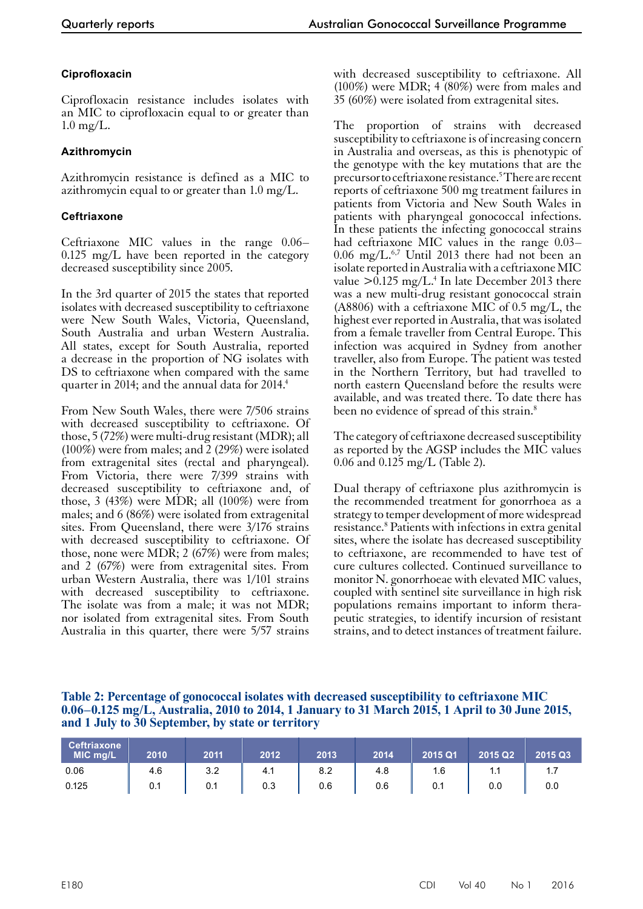## **Ciprofloxacin**

Ciprofloxacin resistance includes isolates with an MIC to ciprofloxacin equal to or greater than  $1.0 \text{ mg/L}.$ 

## **Azithromycin**

Azithromycin resistance is defined as a MIC to azithromycin equal to or greater than 1.0 mg/L.

## **Ceftriaxone**

Ceftriaxone MIC values in the range 0.06– 0.125 mg/L have been reported in the category decreased susceptibility since 2005.

In the 3rd quarter of 2015 the states that reported isolates with decreased susceptibility to ceftriaxone were New South Wales, Victoria, Queensland, South Australia and urban Western Australia. All states, except for South Australia, reported a decrease in the proportion of NG isolates with DS to ceftriaxone when compared with the same quarter in 2014; and the annual data for 2014.<sup>4</sup>

From New South Wales, there were 7/506 strains with decreased susceptibility to ceftriaxone. Of those, 5 (72%) were multi-drug resistant (MDR); all (100%) were from males; and 2 (29%) were isolated from extragenital sites (rectal and pharyngeal). From Victoria, there were 7/399 strains with decreased susceptibility to ceftriaxone and, of those, 3 (43%) were MDR; all (100%) were from males; and 6 (86%) were isolated from extragenital sites. From Queensland, there were 3/176 strains with decreased susceptibility to ceftriaxone. Of those, none were MDR; 2 (67%) were from males; and 2 (67%) were from extragenital sites. From urban Western Australia, there was 1/101 strains with decreased susceptibility to ceftriaxone. The isolate was from a male; it was not MDR; nor isolated from extragenital sites. From South Australia in this quarter, there were 5/57 strains

with decreased susceptibility to ceftriaxone. All (100%) were MDR; 4 (80%) were from males and 35 (60%) were isolated from extragenital sites.

The proportion of strains with decreased susceptibility to ceftriaxone is of increasing concern in Australia and overseas, as this is phenotypic of the genotype with the key mutations that are the precursor to ceftriaxone resistance.<sup>5</sup> There are recent reports of ceftriaxone 500 mg treatment failures in patients from Victoria and New South Wales in patients with pharyngeal gonococcal infections. In these patients the infecting gonococcal strains had ceftriaxone MIC values in the range 0.03–  $0.06$  mg/L.<sup>6,7</sup> Until 2013 there had not been an isolate reported in Australia with a ceftriaxone MIC value  $> 0.125$  mg/L.<sup>4</sup> In late December 2013 there was a new multi-drug resistant gonococcal strain (A8806) with a ceftriaxone MIC of 0.5 mg/L, the highest ever reported in Australia, that was isolated from a female traveller from Central Europe. This infection was acquired in Sydney from another traveller, also from Europe. The patient was tested in the Northern Territory, but had travelled to north eastern Queensland before the results were available, and was treated there. To date there has been no evidence of spread of this strain.<sup>8</sup>

The category of ceftriaxone decreased susceptibility as reported by the AGSP includes the MIC values 0.06 and 0.125 mg/L (Table 2).

Dual therapy of ceftriaxone plus azithromycin is the recommended treatment for gonorrhoea as a strategy to temper development of more widespread resistance.<sup>8</sup> Patients with infections in extra genital sites, where the isolate has decreased susceptibility to ceftriaxone, are recommended to have test of cure cultures collected. Continued surveillance to monitor N. gonorrhoeae with elevated MIC values, coupled with sentinel site surveillance in high risk populations remains important to inform thera- peutic strategies, to identify incursion of resistant strains, and to detect instances of treatment failure.

**Table 2: Percentage of gonococcal isolates with decreased susceptibility to ceftriaxone MIC 0.06–0.125 mg/L, Australia, 2010 to 2014, 1 January to 31 March 2015, 1 April to 30 June 2015, and 1 July to 30 September, by state or territory**

| <b>Ceftriaxone</b><br>MIC mg/L | 2010 | 2011 | 2012 | 2013 | 2014 | 2015 Q1 | 2015 Q2 | 2015 Q3 |
|--------------------------------|------|------|------|------|------|---------|---------|---------|
| 0.06                           | 4.6  | 3.2  | 4.1  | 8.2  | 4.8  | 1.6     | 1.1     |         |
| 0.125                          | 0.1  | 0.1  | 0.3  | 0.6  | 0.6  | 0.1     | 0.0     | 0.0     |